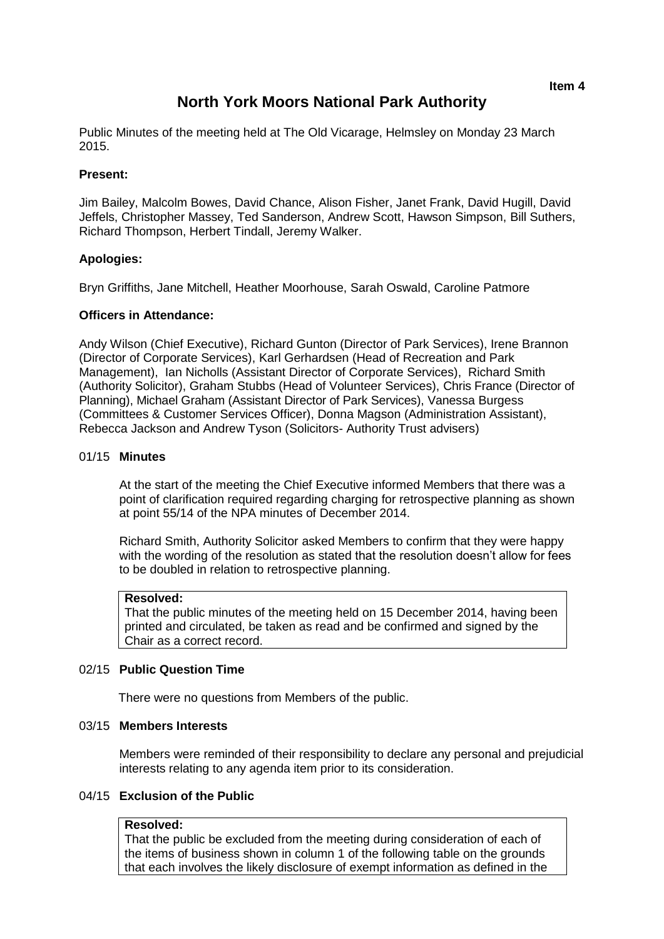# **North York Moors National Park Authority**

Public Minutes of the meeting held at The Old Vicarage, Helmsley on Monday 23 March 2015.

# **Present:**

Jim Bailey, Malcolm Bowes, David Chance, Alison Fisher, Janet Frank, David Hugill, David Jeffels, Christopher Massey, Ted Sanderson, Andrew Scott, Hawson Simpson, Bill Suthers, Richard Thompson, Herbert Tindall, Jeremy Walker.

# **Apologies:**

Bryn Griffiths, Jane Mitchell, Heather Moorhouse, Sarah Oswald, Caroline Patmore

# **Officers in Attendance:**

Andy Wilson (Chief Executive), Richard Gunton (Director of Park Services), Irene Brannon (Director of Corporate Services), Karl Gerhardsen (Head of Recreation and Park Management), Ian Nicholls (Assistant Director of Corporate Services), Richard Smith (Authority Solicitor), Graham Stubbs (Head of Volunteer Services), Chris France (Director of Planning), Michael Graham (Assistant Director of Park Services), Vanessa Burgess (Committees & Customer Services Officer), Donna Magson (Administration Assistant), Rebecca Jackson and Andrew Tyson (Solicitors- Authority Trust advisers)

# 01/15 **Minutes**

At the start of the meeting the Chief Executive informed Members that there was a point of clarification required regarding charging for retrospective planning as shown at point 55/14 of the NPA minutes of December 2014.

Richard Smith, Authority Solicitor asked Members to confirm that they were happy with the wording of the resolution as stated that the resolution doesn't allow for fees to be doubled in relation to retrospective planning.

#### **Resolved:**

That the public minutes of the meeting held on 15 December 2014, having been printed and circulated, be taken as read and be confirmed and signed by the Chair as a correct record.

#### 02/15 **Public Question Time**

There were no questions from Members of the public.

# 03/15 **Members Interests**

Members were reminded of their responsibility to declare any personal and prejudicial interests relating to any agenda item prior to its consideration.

#### 04/15 **Exclusion of the Public**

# **Resolved:**

That the public be excluded from the meeting during consideration of each of the items of business shown in column 1 of the following table on the grounds that each involves the likely disclosure of exempt information as defined in the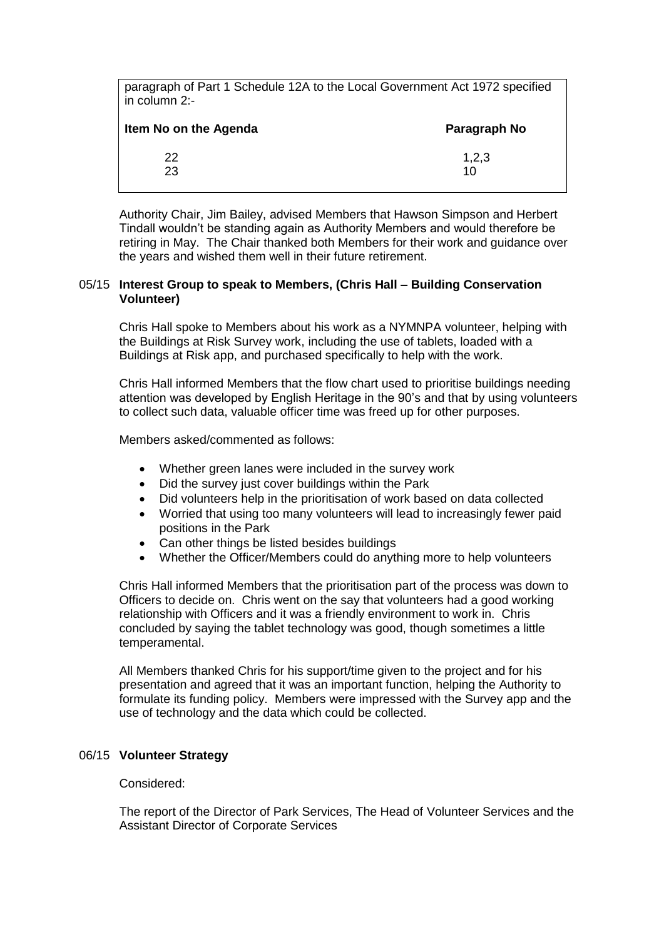paragraph of Part 1 Schedule 12A to the Local Government Act 1972 specified in column 2:-

| Item No on the Agenda | Paragraph No |
|-----------------------|--------------|
| 22                    | 1,2,3        |
| 23                    | 10           |

Authority Chair, Jim Bailey, advised Members that Hawson Simpson and Herbert Tindall wouldn't be standing again as Authority Members and would therefore be retiring in May. The Chair thanked both Members for their work and guidance over the years and wished them well in their future retirement.

#### 05/15 **Interest Group to speak to Members, (Chris Hall – Building Conservation Volunteer)**

Chris Hall spoke to Members about his work as a NYMNPA volunteer, helping with the Buildings at Risk Survey work, including the use of tablets, loaded with a Buildings at Risk app, and purchased specifically to help with the work.

Chris Hall informed Members that the flow chart used to prioritise buildings needing attention was developed by English Heritage in the 90's and that by using volunteers to collect such data, valuable officer time was freed up for other purposes.

Members asked/commented as follows:

- Whether green lanes were included in the survey work
- Did the survey just cover buildings within the Park
- Did volunteers help in the prioritisation of work based on data collected
- Worried that using too many volunteers will lead to increasingly fewer paid positions in the Park
- Can other things be listed besides buildings
- Whether the Officer/Members could do anything more to help volunteers

Chris Hall informed Members that the prioritisation part of the process was down to Officers to decide on. Chris went on the say that volunteers had a good working relationship with Officers and it was a friendly environment to work in. Chris concluded by saying the tablet technology was good, though sometimes a little temperamental.

All Members thanked Chris for his support/time given to the project and for his presentation and agreed that it was an important function, helping the Authority to formulate its funding policy. Members were impressed with the Survey app and the use of technology and the data which could be collected.

# 06/15 **Volunteer Strategy**

#### Considered:

The report of the Director of Park Services, The Head of Volunteer Services and the Assistant Director of Corporate Services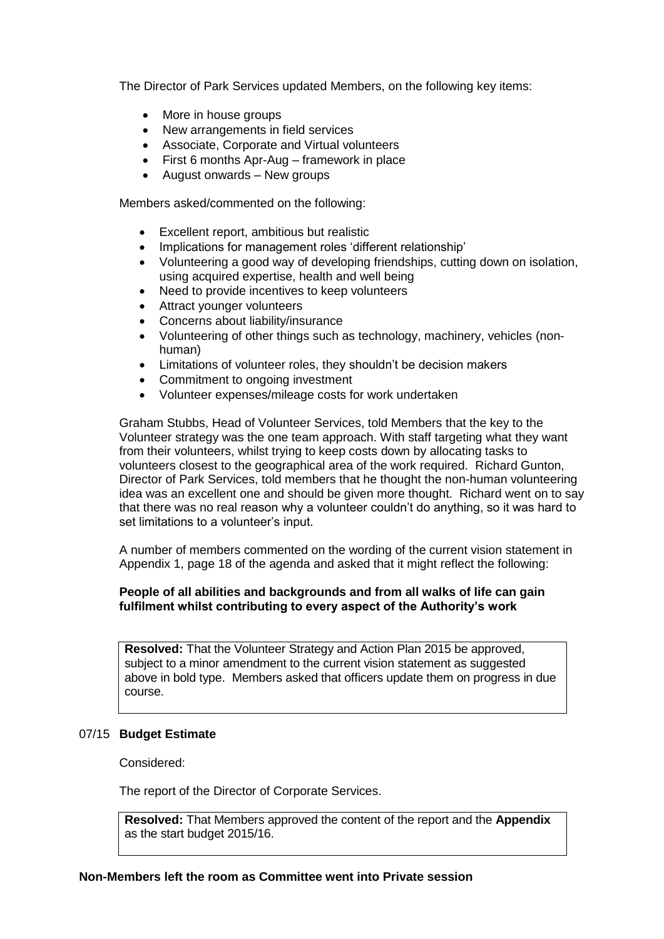The Director of Park Services updated Members, on the following key items:

- More in house groups
- New arrangements in field services
- Associate, Corporate and Virtual volunteers
- First 6 months Apr-Aug framework in place
- August onwards New groups

Members asked/commented on the following:

- Excellent report, ambitious but realistic
- Implications for management roles 'different relationship'
- Volunteering a good way of developing friendships, cutting down on isolation, using acquired expertise, health and well being
- Need to provide incentives to keep volunteers
- Attract younger volunteers
- Concerns about liability/insurance
- Volunteering of other things such as technology, machinery, vehicles (nonhuman)
- Limitations of volunteer roles, they shouldn't be decision makers
- Commitment to ongoing investment
- Volunteer expenses/mileage costs for work undertaken

Graham Stubbs, Head of Volunteer Services, told Members that the key to the Volunteer strategy was the one team approach. With staff targeting what they want from their volunteers, whilst trying to keep costs down by allocating tasks to volunteers closest to the geographical area of the work required. Richard Gunton, Director of Park Services, told members that he thought the non-human volunteering idea was an excellent one and should be given more thought. Richard went on to say that there was no real reason why a volunteer couldn't do anything, so it was hard to set limitations to a volunteer's input.

A number of members commented on the wording of the current vision statement in Appendix 1, page 18 of the agenda and asked that it might reflect the following:

# **People of all abilities and backgrounds and from all walks of life can gain fulfilment whilst contributing to every aspect of the Authority's work**

**Resolved:** That the Volunteer Strategy and Action Plan 2015 be approved, subject to a minor amendment to the current vision statement as suggested above in bold type. Members asked that officers update them on progress in due course.

#### 07/15 **Budget Estimate**

Considered:

The report of the Director of Corporate Services.

**Resolved:** That Members approved the content of the report and the **Appendix** as the start budget 2015/16.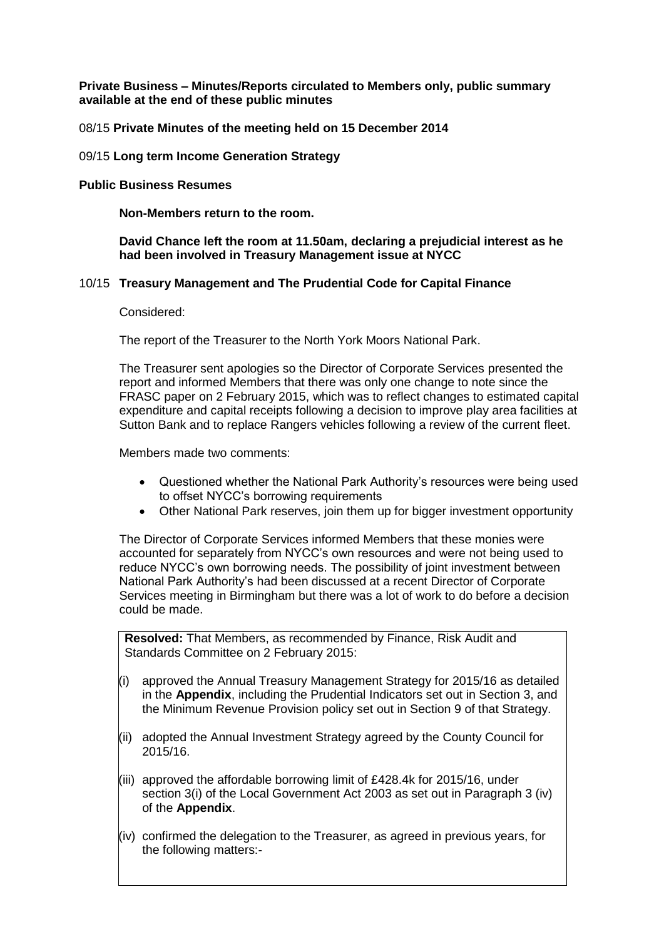**Private Business – Minutes/Reports circulated to Members only, public summary available at the end of these public minutes**

08/15 **Private Minutes of the meeting held on 15 December 2014**

#### 09/15 **Long term Income Generation Strategy**

#### **Public Business Resumes**

**Non-Members return to the room.**

# **David Chance left the room at 11.50am, declaring a prejudicial interest as he had been involved in Treasury Management issue at NYCC**

# 10/15 **Treasury Management and The Prudential Code for Capital Finance**

#### Considered:

The report of the Treasurer to the North York Moors National Park.

The Treasurer sent apologies so the Director of Corporate Services presented the report and informed Members that there was only one change to note since the FRASC paper on 2 February 2015, which was to reflect changes to estimated capital expenditure and capital receipts following a decision to improve play area facilities at Sutton Bank and to replace Rangers vehicles following a review of the current fleet.

Members made two comments:

- Questioned whether the National Park Authority's resources were being used to offset NYCC's borrowing requirements
- Other National Park reserves, join them up for bigger investment opportunity

The Director of Corporate Services informed Members that these monies were accounted for separately from NYCC's own resources and were not being used to reduce NYCC's own borrowing needs. The possibility of joint investment between National Park Authority's had been discussed at a recent Director of Corporate Services meeting in Birmingham but there was a lot of work to do before a decision could be made.

**Resolved:** That Members, as recommended by Finance, Risk Audit and Standards Committee on 2 February 2015:

- (i) approved the Annual Treasury Management Strategy for 2015/16 as detailed in the **Appendix**, including the Prudential Indicators set out in Section 3, and the Minimum Revenue Provision policy set out in Section 9 of that Strategy.
- (ii) adopted the Annual Investment Strategy agreed by the County Council for 2015/16.
- (iii) approved the affordable borrowing limit of £428.4k for 2015/16, under section 3(i) of the Local Government Act 2003 as set out in Paragraph 3 (iv) of the **Appendix**.
- (iv) confirmed the delegation to the Treasurer, as agreed in previous years, for the following matters:-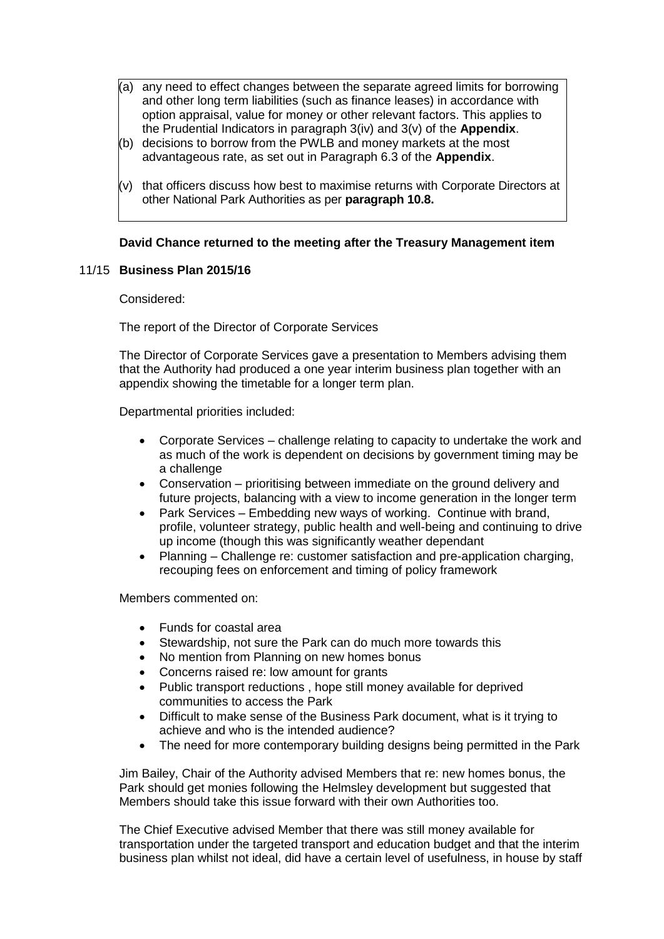- (a) any need to effect changes between the separate agreed limits for borrowing and other long term liabilities (such as finance leases) in accordance with option appraisal, value for money or other relevant factors. This applies to the Prudential Indicators in paragraph 3(iv) and 3(v) of the **Appendix**.
- (b) decisions to borrow from the PWLB and money markets at the most advantageous rate, as set out in Paragraph 6.3 of the **Appendix**.
- $(v)$  that officers discuss how best to maximise returns with Corporate Directors at other National Park Authorities as per **paragraph 10.8.**

# **David Chance returned to the meeting after the Treasury Management item**

# 11/15 **Business Plan 2015/16**

Considered:

The report of the Director of Corporate Services

The Director of Corporate Services gave a presentation to Members advising them that the Authority had produced a one year interim business plan together with an appendix showing the timetable for a longer term plan.

Departmental priorities included:

- Corporate Services challenge relating to capacity to undertake the work and as much of the work is dependent on decisions by government timing may be a challenge
- Conservation prioritising between immediate on the ground delivery and future projects, balancing with a view to income generation in the longer term
- Park Services Embedding new ways of working. Continue with brand, profile, volunteer strategy, public health and well-being and continuing to drive up income (though this was significantly weather dependant
- Planning Challenge re: customer satisfaction and pre-application charging, recouping fees on enforcement and timing of policy framework

Members commented on:

- Funds for coastal area
- Stewardship, not sure the Park can do much more towards this
- No mention from Planning on new homes bonus
- Concerns raised re: low amount for grants
- Public transport reductions , hope still money available for deprived communities to access the Park
- Difficult to make sense of the Business Park document, what is it trying to achieve and who is the intended audience?
- The need for more contemporary building designs being permitted in the Park

Jim Bailey, Chair of the Authority advised Members that re: new homes bonus, the Park should get monies following the Helmsley development but suggested that Members should take this issue forward with their own Authorities too.

The Chief Executive advised Member that there was still money available for transportation under the targeted transport and education budget and that the interim business plan whilst not ideal, did have a certain level of usefulness, in house by staff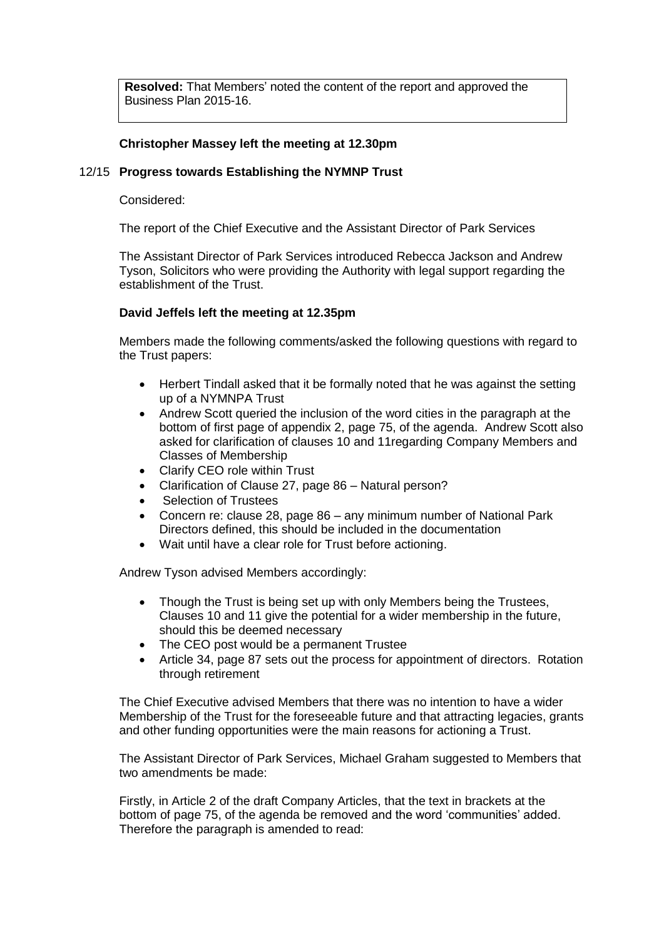**Resolved:** That Members' noted the content of the report and approved the Business Plan 2015-16.

# **Christopher Massey left the meeting at 12.30pm**

# 12/15 **Progress towards Establishing the NYMNP Trust**

Considered:

The report of the Chief Executive and the Assistant Director of Park Services

The Assistant Director of Park Services introduced Rebecca Jackson and Andrew Tyson, Solicitors who were providing the Authority with legal support regarding the establishment of the Trust.

# **David Jeffels left the meeting at 12.35pm**

Members made the following comments/asked the following questions with regard to the Trust papers:

- Herbert Tindall asked that it be formally noted that he was against the setting up of a NYMNPA Trust
- Andrew Scott queried the inclusion of the word cities in the paragraph at the bottom of first page of appendix 2, page 75, of the agenda. Andrew Scott also asked for clarification of clauses 10 and 11regarding Company Members and Classes of Membership
- Clarify CEO role within Trust
- Clarification of Clause 27, page 86 Natural person?
- Selection of Trustees
- Concern re: clause 28, page 86 any minimum number of National Park Directors defined, this should be included in the documentation
- Wait until have a clear role for Trust before actioning.

Andrew Tyson advised Members accordingly:

- Though the Trust is being set up with only Members being the Trustees, Clauses 10 and 11 give the potential for a wider membership in the future, should this be deemed necessary
- The CEO post would be a permanent Trustee
- Article 34, page 87 sets out the process for appointment of directors. Rotation through retirement

The Chief Executive advised Members that there was no intention to have a wider Membership of the Trust for the foreseeable future and that attracting legacies, grants and other funding opportunities were the main reasons for actioning a Trust.

The Assistant Director of Park Services, Michael Graham suggested to Members that two amendments be made:

Firstly, in Article 2 of the draft Company Articles, that the text in brackets at the bottom of page 75, of the agenda be removed and the word 'communities' added. Therefore the paragraph is amended to read: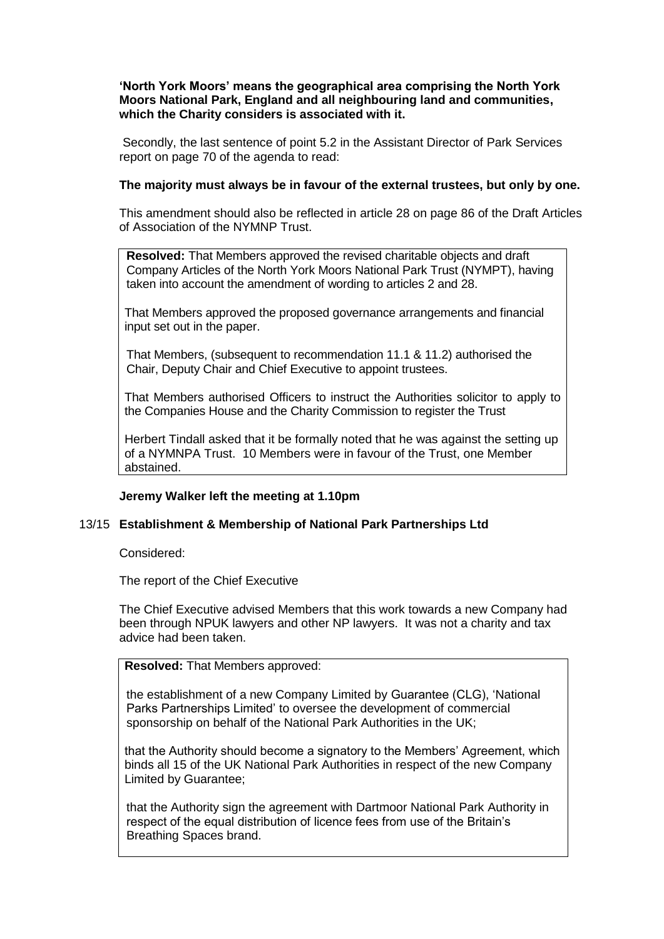**'North York Moors' means the geographical area comprising the North York Moors National Park, England and all neighbouring land and communities, which the Charity considers is associated with it.**

Secondly, the last sentence of point 5.2 in the Assistant Director of Park Services report on page 70 of the agenda to read:

# **The majority must always be in favour of the external trustees, but only by one.**

This amendment should also be reflected in article 28 on page 86 of the Draft Articles of Association of the NYMNP Trust.

**Resolved:** That Members approved the revised charitable objects and draft Company Articles of the North York Moors National Park Trust (NYMPT), having taken into account the amendment of wording to articles 2 and 28.

That Members approved the proposed governance arrangements and financial input set out in the paper.

That Members, (subsequent to recommendation 11.1 & 11.2) authorised the Chair, Deputy Chair and Chief Executive to appoint trustees.

That Members authorised Officers to instruct the Authorities solicitor to apply to the Companies House and the Charity Commission to register the Trust

Herbert Tindall asked that it be formally noted that he was against the setting up of a NYMNPA Trust. 10 Members were in favour of the Trust, one Member abstained.

# **Jeremy Walker left the meeting at 1.10pm**

#### 13/15 **Establishment & Membership of National Park Partnerships Ltd**

Considered:

The report of the Chief Executive

The Chief Executive advised Members that this work towards a new Company had been through NPUK lawyers and other NP lawyers. It was not a charity and tax advice had been taken.

**Resolved:** That Members approved:

the establishment of a new Company Limited by Guarantee (CLG), 'National Parks Partnerships Limited' to oversee the development of commercial sponsorship on behalf of the National Park Authorities in the UK;

that the Authority should become a signatory to the Members' Agreement, which binds all 15 of the UK National Park Authorities in respect of the new Company Limited by Guarantee;

that the Authority sign the agreement with Dartmoor National Park Authority in respect of the equal distribution of licence fees from use of the Britain's Breathing Spaces brand.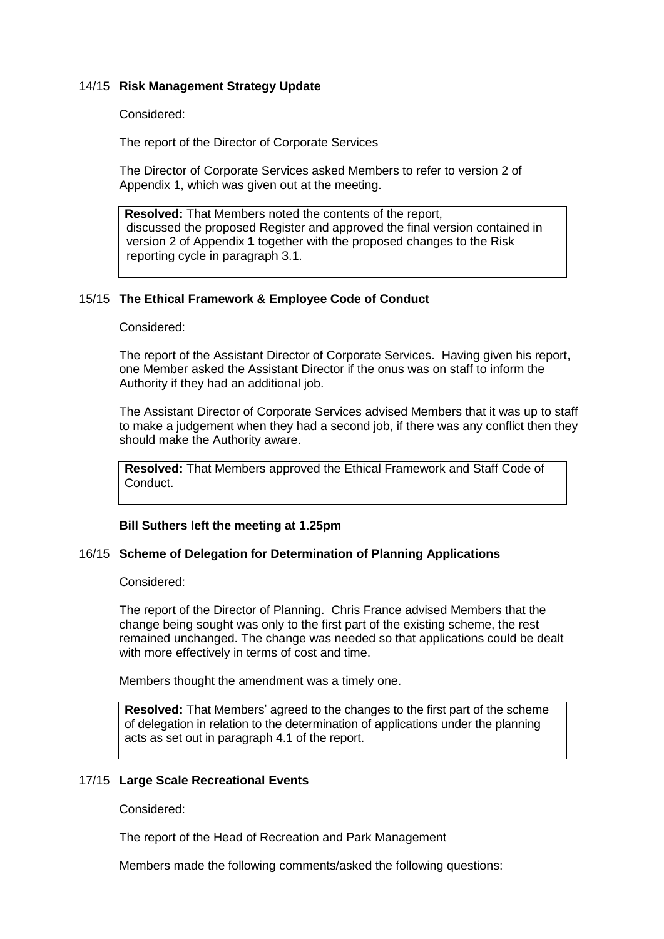# 14/15 **Risk Management Strategy Update**

Considered:

The report of the Director of Corporate Services

The Director of Corporate Services asked Members to refer to version 2 of Appendix 1, which was given out at the meeting.

**Resolved:** That Members noted the contents of the report, discussed the proposed Register and approved the final version contained in version 2 of Appendix **1** together with the proposed changes to the Risk reporting cycle in paragraph 3.1.

#### 15/15 **The Ethical Framework & Employee Code of Conduct**

Considered:

The report of the Assistant Director of Corporate Services. Having given his report, one Member asked the Assistant Director if the onus was on staff to inform the Authority if they had an additional job.

The Assistant Director of Corporate Services advised Members that it was up to staff to make a judgement when they had a second job, if there was any conflict then they should make the Authority aware.

**Resolved:** That Members approved the Ethical Framework and Staff Code of Conduct.

#### **Bill Suthers left the meeting at 1.25pm**

#### 16/15 **Scheme of Delegation for Determination of Planning Applications**

Considered:

The report of the Director of Planning. Chris France advised Members that the change being sought was only to the first part of the existing scheme, the rest remained unchanged. The change was needed so that applications could be dealt with more effectively in terms of cost and time.

Members thought the amendment was a timely one.

**Resolved:** That Members' agreed to the changes to the first part of the scheme of delegation in relation to the determination of applications under the planning acts as set out in paragraph 4.1 of the report.

#### 17/15 **Large Scale Recreational Events**

Considered:

The report of the Head of Recreation and Park Management

Members made the following comments/asked the following questions: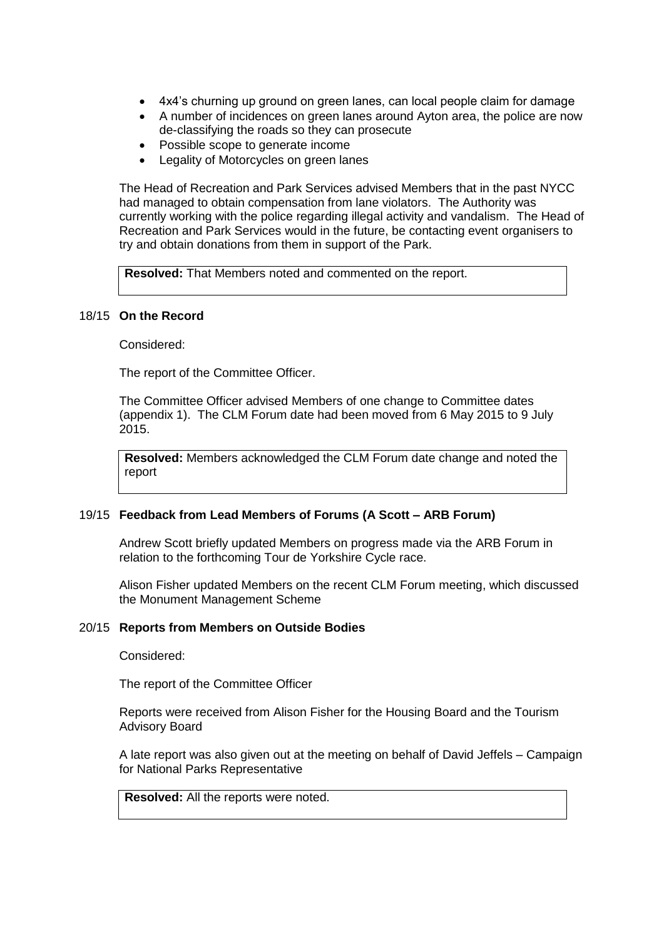- 4x4's churning up ground on green lanes, can local people claim for damage
- A number of incidences on green lanes around Ayton area, the police are now de-classifying the roads so they can prosecute
- Possible scope to generate income
- Legality of Motorcycles on green lanes

The Head of Recreation and Park Services advised Members that in the past NYCC had managed to obtain compensation from lane violators. The Authority was currently working with the police regarding illegal activity and vandalism. The Head of Recreation and Park Services would in the future, be contacting event organisers to try and obtain donations from them in support of the Park.

**Resolved:** That Members noted and commented on the report.

#### 18/15 **On the Record**

Considered:

The report of the Committee Officer.

The Committee Officer advised Members of one change to Committee dates (appendix 1). The CLM Forum date had been moved from 6 May 2015 to 9 July 2015.

**Resolved:** Members acknowledged the CLM Forum date change and noted the report

#### 19/15 **Feedback from Lead Members of Forums (A Scott – ARB Forum)**

Andrew Scott briefly updated Members on progress made via the ARB Forum in relation to the forthcoming Tour de Yorkshire Cycle race.

Alison Fisher updated Members on the recent CLM Forum meeting, which discussed the Monument Management Scheme

## 20/15 **Reports from Members on Outside Bodies**

Considered:

The report of the Committee Officer

Reports were received from Alison Fisher for the Housing Board and the Tourism Advisory Board

A late report was also given out at the meeting on behalf of David Jeffels – Campaign for National Parks Representative

**Resolved:** All the reports were noted.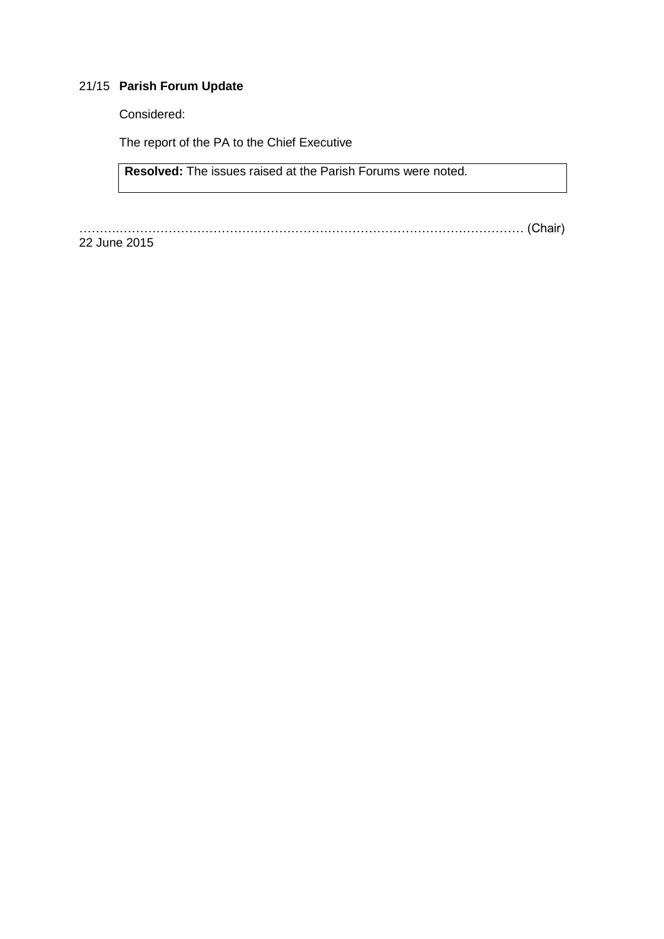# 21/15 **Parish Forum Update**

Considered:

The report of the PA to the Chief Executive

**Resolved:** The issues raised at the Parish Forums were noted.

……….……………………………………………………………………………………… (Chair)

22 June 2015